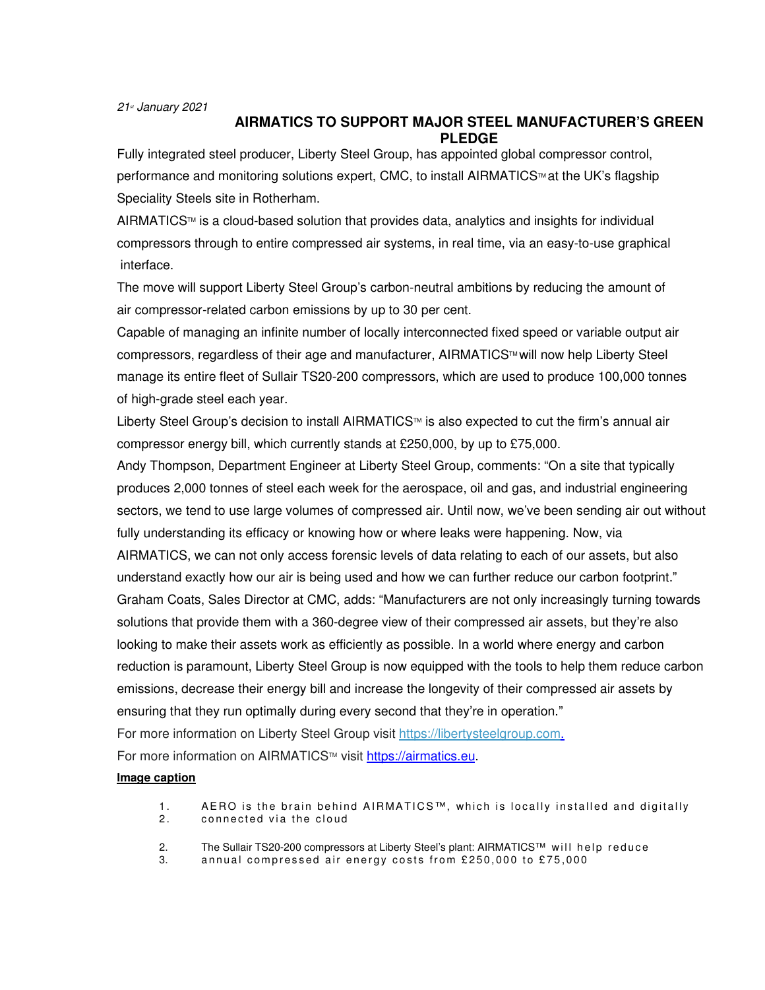## **AIRMATICS TO SUPPORT MAJOR STEEL MANUFACTURER'S GREEN PLEDGE**

Fully integrated steel producer, Liberty Steel Group, has appointed global compressor control, performance and monitoring solutions expert, CMC, to install AIRMATICS™ at the UK's flagship Speciality Steels site in Rotherham.

 $A$ IRMATICS<sup> $M$ </sup> is a cloud-based solution that provides data, analytics and insights for individual compressors through to entire compressed air systems, in real time, via an easy-to-use graphical interface.

The move will support Liberty Steel Group's carbon-neutral ambitions by reducing the amount of air compressor-related carbon emissions by up to 30 per cent.

Capable of managing an infinite number of locally interconnected fixed speed or variable output air compressors, regardless of their age and manufacturer, AIRMATICS™ will now help Liberty Steel manage its entire fleet of Sullair TS20-200 compressors, which are used to produce 100,000 tonnes of high-grade steel each year.

Liberty Steel Group's decision to install AIRMATICS™ is also expected to cut the firm's annual air compressor energy bill, which currently stands at £250,000, by up to £75,000.

Andy Thompson, Department Engineer at Liberty Steel Group, comments: "On a site that typically produces 2,000 tonnes of steel each week for the aerospace, oil and gas, and industrial engineering sectors, we tend to use large volumes of compressed air. Until now, we've been sending air out without fully understanding its efficacy or knowing how or where leaks were happening. Now, via AIRMATICS, we can not only access forensic levels of data relating to each of our assets, but also understand exactly how our air is being used and how we can further reduce our carbon footprint."

Graham Coats, Sales Director at CMC, adds: "Manufacturers are not only increasingly turning towards solutions that provide them with a 360-degree view of their compressed air assets, but they're also looking to make their assets work as efficiently as possible. In a world where energy and carbon reduction is paramount, Liberty Steel Group is now equipped with the tools to help them reduce carbon emissions, decrease their energy bill and increase the longevity of their compressed air assets by ensuring that they run optimally during every second that they're in operation."

For more information on Liberty Steel Group visit https://libertysteelgroup.com.

For more information on AIRMATICS™ visit https://airmatics.eu.

## **Image caption**

- 1. AERO is the brain behind AIRMATICS™, which is locally installed and digitally 2. connected via the cloud
- connected via the cloud
- 2. The Sullair TS20-200 compressors at Liberty Steel's plant: AIRMATICS™ will help reduce<br>3. annual compressed air energy costs from £250.000 to £75.000
- annual compressed air energy costs from £250,000 to £75,000